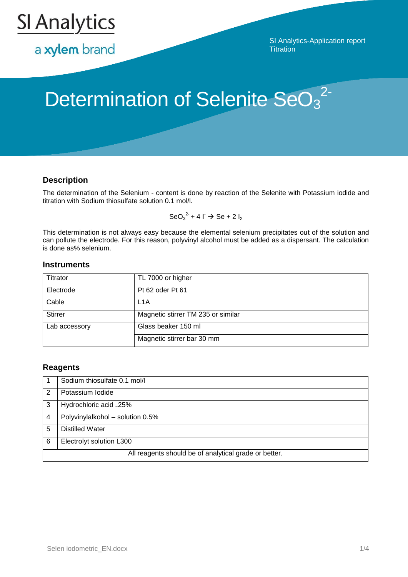

a xylem brand

SI Analytics-Application report **Titration** 

# Determination of Selenite SeO<sub>3</sub><sup>2-</sup>

## **Description**

The determination of the Selenium - content is done by reaction of the Selenite with Potassium iodide and titration with Sodium thiosulfate solution 0.1 mol/l.

 $\text{SeO}_3^2$  + 4  $\Gamma \to \text{Se} + 2 I_2$ 

This determination is not always easy because the elemental selenium precipitates out of the solution and can pollute the electrode. For this reason, polyvinyl alcohol must be added as a dispersant. The calculation is done as% selenium.

### **Instruments**

| Titrator       | TL 7000 or higher                  |  |
|----------------|------------------------------------|--|
| Electrode      | Pt 62 oder Pt 61                   |  |
| Cable          | L <sub>1</sub> A                   |  |
| <b>Stirrer</b> | Magnetic stirrer TM 235 or similar |  |
| Lab accessory  | Glass beaker 150 ml                |  |
|                | Magnetic stirrer bar 30 mm         |  |

## **Reagents**

|                                                       | Sodium thiosulfate 0.1 mol/l     |  |
|-------------------------------------------------------|----------------------------------|--|
| 2                                                     | Potassium Iodide                 |  |
| 3                                                     | Hydrochloric acid 25%            |  |
|                                                       | Polyvinylalkohol - solution 0.5% |  |
| 5                                                     | <b>Distilled Water</b>           |  |
| 6                                                     | Electrolyt solution L300         |  |
| All reagents should be of analytical grade or better. |                                  |  |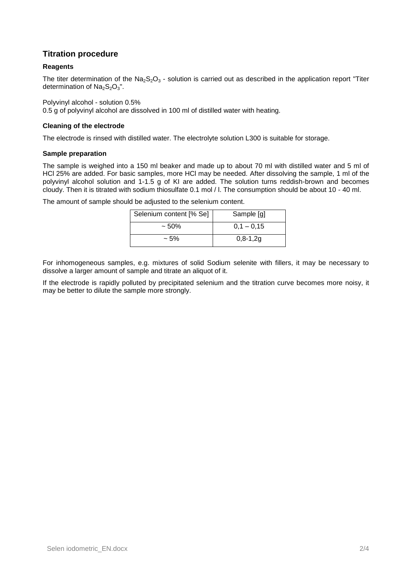## **Titration procedure**

### **Reagents**

The titer determination of the  $Na<sub>2</sub>S<sub>2</sub>O<sub>3</sub>$  - solution is carried out as described in the application report "Titer determination of  $Na<sub>2</sub>S<sub>2</sub>O<sub>3</sub>$ ".

Polyvinyl alcohol - solution 0.5%

0.5 g of polyvinyl alcohol are dissolved in 100 ml of distilled water with heating.

#### **Cleaning of the electrode**

The electrode is rinsed with distilled water. The electrolyte solution L300 is suitable for storage.

#### **Sample preparation**

The sample is weighed into a 150 ml beaker and made up to about 70 ml with distilled water and 5 ml of HCl 25% are added. For basic samples, more HCl may be needed. After dissolving the sample, 1 ml of the polyvinyl alcohol solution and 1-1.5 g of KI are added. The solution turns reddish-brown and becomes cloudy. Then it is titrated with sodium thiosulfate 0.1 mol / l. The consumption should be about 10 - 40 ml.

The amount of sample should be adjusted to the selenium content.

| Selenium content [% Se] | Sample [g]     |  |
|-------------------------|----------------|--|
| $~1.50\%$               | $0.1 - 0.15$   |  |
| $~1.5\%$                | $0, 8 - 1, 2g$ |  |

For inhomogeneous samples, e.g. mixtures of solid Sodium selenite with fillers, it may be necessary to dissolve a larger amount of sample and titrate an aliquot of it.

If the electrode is rapidly polluted by precipitated selenium and the titration curve becomes more noisy, it may be better to dilute the sample more strongly.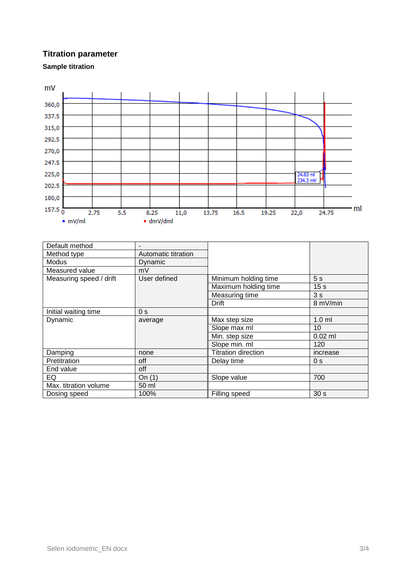## **Titration parameter**

**Sample titration**



| Default method          |                     |                            |                 |
|-------------------------|---------------------|----------------------------|-----------------|
| Method type             | Automatic titration |                            |                 |
| Modus                   | Dynamic             |                            |                 |
| Measured value          | mV                  |                            |                 |
| Measuring speed / drift | User defined        | Minimum holding time       | 5 <sub>s</sub>  |
|                         |                     | Maximum holding time       | 15 <sub>s</sub> |
|                         |                     | Measuring time             | 3s              |
|                         |                     | Drift                      | 8 mV/min        |
| Initial waiting time    | 0 <sub>s</sub>      |                            |                 |
| Dynamic                 | average             | Max step size              | $1.0$ ml        |
|                         |                     | Slope max ml               | 10              |
|                         |                     | Min. step size             | $0.02$ ml       |
|                         |                     | Slope min. ml              | 120             |
| Damping                 | none                | <b>Titration direction</b> | increase        |
| Pretitration            | off                 | Delay time                 | 0 <sub>s</sub>  |
| End value               | off                 |                            |                 |
| EQ                      | On $(1)$            | Slope value                | 700             |
| Max. titration volume   | 50 ml               |                            |                 |
| Dosing speed            | 100%                | Filling speed              | 30 <sub>s</sub> |